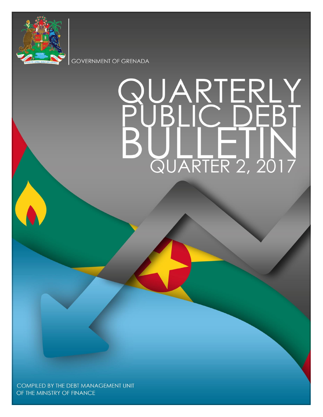

**GOVERNMENT OF GRENADA** 

# RUARTERLY QUARTER 2, 2017

**COMPILED BY THE DEBT MANAGEMENT UNIT** OF THE MINISTRY OF FINANCE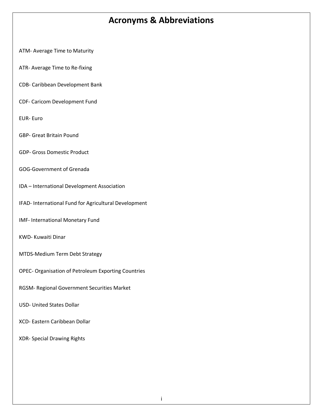# **Acronyms & Abbreviations**

ATM- Average Time to Maturity

ATR- Average Time to Re-fixing

CDB- Caribbean Development Bank

CDF- Caricom Development Fund

EUR- Euro

GBP- Great Britain Pound

GDP- Gross Domestic Product

GOG-Government of Grenada

IDA – International Development Association

IFAD- International Fund for Agricultural Development

IMF- International Monetary Fund

KWD- Kuwaiti Dinar

MTDS-Medium Term Debt Strategy

OPEC- Organisation of Petroleum Exporting Countries

RGSM- Regional Government Securities Market

USD- United States Dollar

XCD- Eastern Caribbean Dollar

XDR- Special Drawing Rights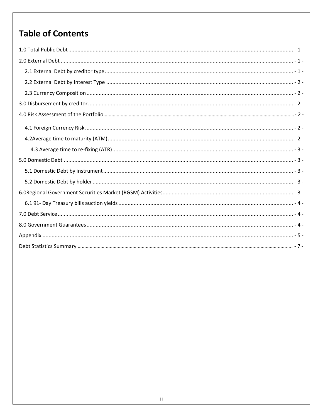# **Table of Contents**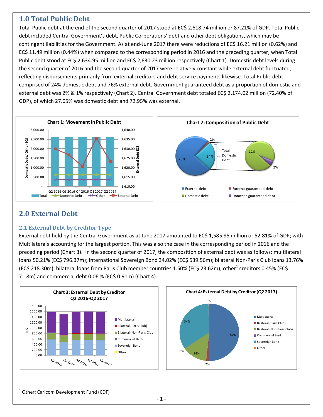# <span id="page-3-0"></span>**1.0 Total Public Debt**

Total Public debt at the end of the second quarter of 2017 stood at EC\$ 2,618.74 million or 87.21% of GDP. Total Public debt included Central Government's debt, Public Corporations' debt and other debt obligations, which may be contingent liabilities for the Government. As at end-June 2017 there were reductions of EC\$ 16.21 million (0.62%) and EC\$ 11.49 million (0.44%) when compared to the corresponding period in 2016 and the preceding quarter, when Total Public debt stood at EC\$ 2,634.95 million and EC\$ 2,630.23 million respectively (Chart 1). Domestic debt levels during the second quarter of 2016 and the second quarter of 2017 were relatively constant while external debt fluctuated, reflecting disbursements primarily from external creditors and debt service payments likewise. Total Public debt comprised of 24% domestic debt and 76% external debt. Government guaranteed debt as a proportion of domestic and external debt was 2% & 1% respectively (Chart 2). Central Government debt totaled EC\$ 2,174.02 million (72.40% of GDP), of which 27.05% was domestic debt and 72.95% was external.



# <span id="page-3-1"></span>**2.0 External Debt**

### <span id="page-3-2"></span>**2.1 External Debt by Creditor Type**

External debt held by the Central Government as at June 2017 amounted to EC\$ 1,585.95 million or 52.81% of GDP; with Multilaterals accounting for the largest portion. This was also the case in the corresponding period in 2016 and the preceding period (Chart 3). In the second quarter of 2017, the composition of external debt was as follows: multilateral loans 50.21% (EC\$ 796.37m); International Sovereign Bond 34.02% (EC\$ 539.56m); bilateral Non-Paris Club loans 13.76% (EC\$ 218.30m), bilateral loans from Paris Club member countries 1.50% (EC\$ 23.62m); other $^1$  creditors 0.45% (EC\$ 7.18m) and commercial debt 0.06 % (EC\$ 0.91m) (Chart 4).





 $\overline{\phantom{a}}$ <sup>1</sup> Other: Caricom Development Fund (CDF)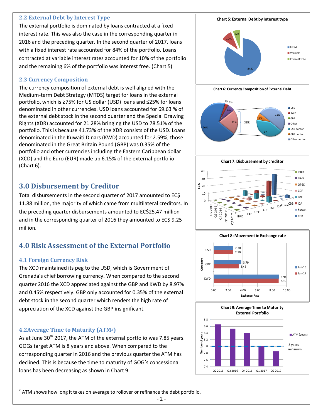### <span id="page-4-0"></span>**2.2 External Debt by Interest Type**

The external portfolio is dominated by loans contracted at a fixed interest rate. This was also the case in the corresponding quarter in 2016 and the preceding quarter. In the second quarter of 2017, loans with a fixed interest rate accounted for 84% of the portfolio. Loans contracted at variable interest rates accounted for 10% of the portfolio and the remaining 6% of the portfolio was interest free. (Chart 5)

### <span id="page-4-1"></span>**2.3 Currency Composition**

The currency composition of external debt is well aligned with the Medium-term Debt Strategy (MTDS) target for loans in the external portfolio, which is ≥75% for US dollar (USD) loans and ≤25% for loans denominated in other currencies. USD loans accounted for 69.63 % of the external debt stock in the second quarter and the Special Drawing Rights (XDR) accounted for 21.28% bringing the USD to 78.51% of the portfolio. This is because 41.73% of the XDR consists of the USD. Loans denominated in the Kuwaiti Dinars (KWD) accounted for 2.59%, those denominated in the Great Britain Pound (GBP) was 0.35% of the portfolio and other currencies including the Eastern Caribbean dollar (XCD) and the Euro (EUR) made up 6.15% of the external portfolio (Chart 6).

# <span id="page-4-2"></span>**3.0 Disbursement by Creditor**

Total disbursements in the second quarter of 2017 amounted to EC\$ 11.88 million, the majority of which came from multilateral creditors. In the preceding quarter disbursements amounted to EC\$25.47 million and in the corresponding quarter of 2016 they amounted to EC\$ 9.25 million.

# **4.0 Risk Assessment of the External Portfolio**

### <span id="page-4-3"></span>**4.1 Foreign Currency Risk**

The XCD maintained its peg to the USD, which is Government of Grenada's chief borrowing currency. When compared to the second quarter 2016 the XCD appreciated against the GBP and KWD by 8.97% and 0.45% respectively. GBP only accounted for 0.35% of the external debt stock in the second quarter which renders the high rate of appreciation of the XCD against the GBP insignificant.

### <span id="page-4-4"></span>**4.2Average Time to Maturity (ATM***2***)**

 $\overline{\phantom{a}}$ 

As at June 30<sup>th</sup> 2017, the ATM of the external portfolio was 7.85 years. GOGs target ATM is 8 years and above. When compared to the corresponding quarter in 2016 and the previous quarter the ATM has declined. This is because the time to maturity of GOG's concessional loans has been decreasing as shown in Chart 9.



 $^{2}$  ATM shows how long it takes on average to rollover or refinance the debt portfolio.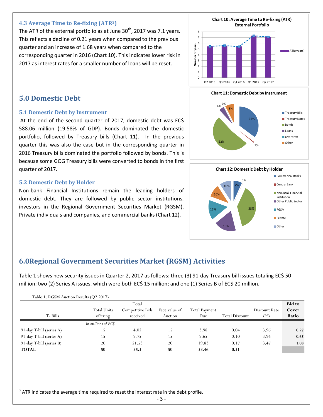### <span id="page-5-0"></span>**4.3 Average Time to Re-fixing (ATR3)**

The ATR of the external portfolio as at June  $30<sup>th</sup>$ , 2017 was 7.1 years. This reflects a decline of 0.21 years when compared to the previous quarter and an increase of 1.68 years when compared to the corresponding quarter in 2016 (Chart 10). This indicates lower risk in 2017 as interest rates for a smaller number of loans will be reset.



### **Chart 11: Domestic Debt by Instrument**





# <span id="page-5-1"></span>**5.0 Domestic Debt**

### <span id="page-5-2"></span>**5.1 Domestic Debt by Instrument**

At the end of the second quarter of 2017, domestic debt was EC\$ 588.06 million (19.58% of GDP). Bonds dominated the domestic portfolio, followed by Treasury bills (Chart 11). In the previous quarter this was also the case but in the corresponding quarter in 2016 Treasury bills dominated the portfolio followed by bonds. This is because some GOG Treasury bills were converted to bonds in the first quarter of 2017.

### <span id="page-5-3"></span>**5.2 Domestic Debt by Holder**

Non-bank Financial Institutions remain the leading holders of domestic debt. They are followed by public sector institutions, investors in the Regional Government Securities Market (RGSM), Private individuals and companies, and commercial banks (Chart 12).

# <span id="page-5-4"></span>**6.0Regional Government Securities Market (RGSM) Activities**

Table 1 shows new security issues in Quarter 2, 2017 as follows: three (3) 91-day Treasury bill issues totaling EC\$ 50 million; two (2) Series A issues, which were both EC\$ 15 million; and one (1) Series B of EC\$ 20 million.

| Table 1: RGSM Auction Results (O2 2017) |                     |                  |               |                      |                       |               |               |
|-----------------------------------------|---------------------|------------------|---------------|----------------------|-----------------------|---------------|---------------|
|                                         |                     | Total            |               |                      |                       |               | <b>Bid to</b> |
|                                         | <b>Total Units</b>  | Competitive Bids | Face value of | <b>Total Payment</b> |                       | Discount Rate | Cover         |
| T-Bills                                 | offering            | received         | Auction       | Due                  | <b>Total Discount</b> | (%)           | Ratio         |
|                                         | In millions of EC\$ |                  |               |                      |                       |               |               |
| 91-day T-bill (series A)                | 15                  | 4.02             | 15            | 3.98                 | 0.04                  | 3.96          | 0.27          |
| 91-day T-bill (series A)                | 15                  | 9.75             | 15            | 9.65                 | 0.10                  | 3.96          | 0.65          |
| 91-day T-bill (series B)                | 20                  | 21.53            | 20            | 19.83                | 0.17                  | 3.47          | 1.08          |
| <b>TOTAL</b>                            | 50                  | 35.3             | 50            | 33.46                | 0.31                  |               |               |

 $\overline{\phantom{a}}$  $3$  ATR indicates the average time required to reset the interest rate in the debt profile.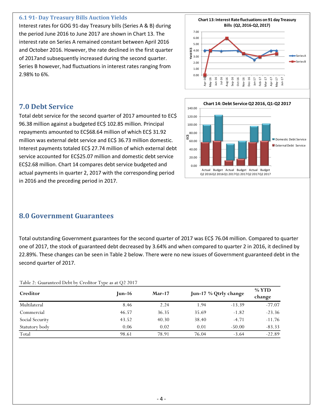### <span id="page-6-0"></span>**6.1 91- Day Treasury Bills Auction Yields**

Interest rates for GOG 91-day Treasury bills (Series A & B) during the period June 2016 to June 2017 are shown in Chart 13. The interest rate on Series A remained constant between April 2016 and October 2016. However, the rate declined in the first quarter of 2017and subsequently increased during the second quarter. Series B however, had fluctuations in interest rates ranging from 2.98% to 6%.



<span id="page-6-1"></span>

Total debt service for the second quarter of 2017 amounted to EC\$ 96.38 million against a budgeted EC\$ 102.85 million. Principal repayments amounted to EC\$68.64 million of which EC\$ 31.92 million was external debt service and EC\$ 36.73 million domestic. Interest payments totaled EC\$ 27.74 million of which external debt service accounted for EC\$25.07 million and domestic debt service EC\$2.68 million. Chart 14 compares debt service budgeted and actual payments in quarter 2, 2017 with the corresponding period in 2016 and the preceding period in 2017.



# <span id="page-6-2"></span>**8.0 Government Guarantees**

Total outstanding Government guarantees for the second quarter of 2017 was EC\$ 76.04 million. Compared to quarter one of 2017, the stock of guaranteed debt decreased by 3.64% and when compared to quarter 2 in 2016, it declined by 22.89%. These changes can be seen in Table 2 below. There were no new issues of Government guaranteed debt in the second quarter of 2017.

Table 2: Guaranteed Debt by Creditor Type as at Q2 2017

| Creditor        | $\mathbf{u}$ n-16 | $Mar-17$ | Jun-17 % Qtrly change |          | $\%$ YTD<br>change |
|-----------------|-------------------|----------|-----------------------|----------|--------------------|
| Multilateral    | 8.46              | 2.24     | 1.94                  | $-13.39$ | $-77.07$           |
| Commercial      | 46.57             | 36.35    | 35.69                 | $-1.82$  | $-23.36$           |
| Social Security | 43.52             | 40.30    | 38.40                 | $-4.71$  | $-11.76$           |
| Statutory body  | 0.06              | 0.02     | 0.01                  | $-50.00$ | $-83.33$           |
| Total           | 98.61             | 78.91    | 76.04                 | $-3.64$  | $-22.89$           |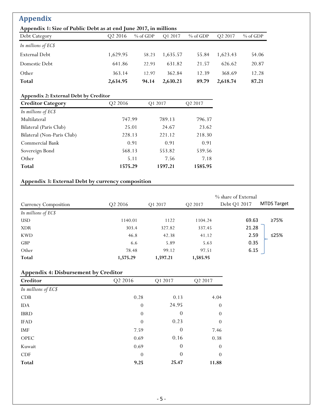<span id="page-7-0"></span>

| Q <sub>2</sub> 2016 |                                       | Q1 2017                                                                      | $%$ of GDP                                                                                       | Q2 2017  | $%$ of GDP |
|---------------------|---------------------------------------|------------------------------------------------------------------------------|--------------------------------------------------------------------------------------------------|----------|------------|
|                     |                                       |                                                                              |                                                                                                  |          |            |
| 1,629.95            | 58.23                                 | 1,635.57                                                                     | 55.84                                                                                            | 1,623.43 | 54.06      |
| 641.86              | 22.93                                 | 631.82                                                                       | 21.57                                                                                            | 626.62   | 20.87      |
| 363.14              | 12.97                                 | 362.84                                                                       | 12.39                                                                                            | 368.69   | 12.28      |
| 2,634.95            | 94.14                                 | 2,630.23                                                                     | 89.79                                                                                            | 2,618.74 | 87.21      |
| Q2 2016             |                                       |                                                                              | Q2 2017                                                                                          |          |            |
|                     |                                       |                                                                              |                                                                                                  |          |            |
|                     |                                       |                                                                              |                                                                                                  |          |            |
|                     |                                       |                                                                              |                                                                                                  |          |            |
|                     |                                       | 24.67                                                                        | 23.62                                                                                            |          |            |
|                     |                                       | 221.12                                                                       | 218.30                                                                                           |          |            |
|                     |                                       | 0.91                                                                         | 0.91                                                                                             |          |            |
|                     |                                       | 553.82                                                                       | 539.56                                                                                           |          |            |
|                     |                                       | 7.56                                                                         | 7.18                                                                                             |          |            |
|                     |                                       |                                                                              | 1585.95                                                                                          |          |            |
|                     | Appendix 2: External Debt by Creditor | $%$ of GDP<br>747.99<br>25.01<br>228.13<br>0.91<br>568.13<br>5.11<br>1575.29 | Appendix 1: Size of Public Debt as at end June 2017, in millions<br>Q1 2017<br>789.13<br>1597.21 | 796.37   |            |

# **Appendix 3: External Debt by currency composition**

| Currency Composition | Q <sub>2</sub> 2016 | O <sub>1</sub> 2017 | O <sub>2</sub> 2017 | % share of External<br><b>MTDS Target</b><br>Debt Q1 2017 |
|----------------------|---------------------|---------------------|---------------------|-----------------------------------------------------------|
| In millions of EC\$  |                     |                     |                     |                                                           |
| <b>USD</b>           | 1140.01             | 1122                | 1104.24             | ≥75%<br>69.63                                             |
| <b>XDR</b>           | 303.4               | 327.82              | 337.45              | 21.28                                                     |
| <b>KWD</b>           | 46.8                | 42.38               | 41.12               | 2.59<br>$≤25%$                                            |
| GBP                  | 6.6                 | 5.89                | 5.63                | 0.35                                                      |
| Other                | 78.48               | 99.12               | 97.51               | 6.15                                                      |
| Total                | 1,575.29            | 1,597.21            | 1,585.95            |                                                           |

### **Appendix 4: Disbursement by Creditor**

| Creditor            | Q2 2016  | Q1 2017  | Q2 2017  |
|---------------------|----------|----------|----------|
| In millions of EC\$ |          |          |          |
| CDB                 | 0.28     | 0.13     | 4.04     |
| IDA                 | $\theta$ | 24.95    | $\theta$ |
| <b>IBRD</b>         | $\theta$ | $\theta$ | $\theta$ |
| <b>IFAD</b>         | $\theta$ | 0.23     | $\theta$ |
| <b>IMF</b>          | 7.59     | $\Omega$ | 7.46     |
| OPEC                | 0.69     | 0.16     | 0.38     |
| Kuwait              | 0.69     | $\theta$ | $\theta$ |
| <b>CDF</b>          | $\theta$ | $\Omega$ | $\theta$ |
| Total               | 9.25     | 25.47    | 11.88    |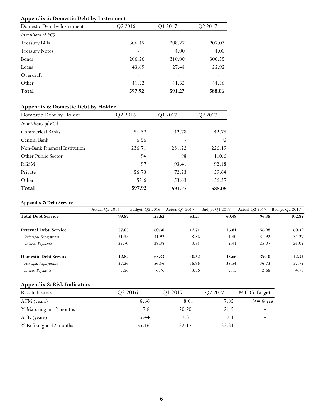| Appendix 5: Domestic Debt by Instrument |         |         |         |  |  |  |  |
|-----------------------------------------|---------|---------|---------|--|--|--|--|
| Domestic Debt by Instrument             | Q2 2016 | Q1 2017 | Q2 2017 |  |  |  |  |
| In millions of EC\$                     |         |         |         |  |  |  |  |
| <b>Treasury Bills</b>                   | 306.45  | 208.27  | 207.03  |  |  |  |  |
| <b>Treasury Notes</b>                   |         | 4.00    | 4.00    |  |  |  |  |
| <b>Bonds</b>                            | 206.26  | 310.00  | 306.55  |  |  |  |  |
| Loans                                   | 43.69   | 27.48   | 25.92   |  |  |  |  |
| Overdraft                               |         | ۰       |         |  |  |  |  |
| Other                                   | 41.52   | 41.52   | 44.56   |  |  |  |  |
| <b>Total</b>                            | 597.92  | 591.27  | 588.06  |  |  |  |  |
|                                         |         |         |         |  |  |  |  |

# **Appendix 6: Domestic Debt by Holder**

| Domestic Debt by Holder        | Q <sub>2</sub> 2016 | Q1 2017 | Q <sub>2</sub> 2017 |
|--------------------------------|---------------------|---------|---------------------|
| In millions of EC\$            |                     |         |                     |
| <b>Commerical Banks</b>        | 54.32               | 42.78   | 42.78               |
| Central Bank                   | 6.56                |         | 0                   |
| Non-Bank Financial Institution | 236.71              | 231.22  | 226.49              |
| Other Public Sector            | 94                  | 98      | 110.6               |
| <b>RGSM</b>                    | 97                  | 93.41   | 92.18               |
| Private                        | 56.73               | 72.23   | 59.64               |
| Other                          | 52.6                | 53.63   | 56.37               |
| <b>Total</b>                   | 597.92              | 591.27  | 588.06              |

### **Appendix 7: Debt Service**

|                              | Actual Q2 2016 | Budget Q2 2016 | Actual O1 2017 | Budget Q1 2017 | Actual Q2 2017 | Budget Q2 2017 |
|------------------------------|----------------|----------------|----------------|----------------|----------------|----------------|
| <b>Total Debt Service</b>    | 99.87          | 123.62         | 53.23          | 60.48          | 96.38          | 102.85         |
| <b>External Debt Service</b> | 57.05          | 60.30          | 12.71          | 16.81          | 56.98          | 60.32          |
| Principal Repayments         | 31.35          | 31.92          | 8.86           | 11.40          | 31.92          | 34.27          |
| Interest Payments            | 25.70          | 28.38          | 3.85           | 5.41           | 25.07          | 26.05          |
| <b>Domestic Debt Service</b> | 42.82          | 63.33          | 40.52          | 43.66          | 39.40          | 42.53          |
| Principal Repayments         | 37.26          | 56.56          | 36.96          | 38.54          | 36.73          | 37.75          |
| Interest Payments            | 5.56           | 6.76           | 3.56           | 5.13           | 2.68           | 4.78           |

### **Appendix 8: Risk Indicators**

| Risk Indicators         | Q <sub>2</sub> 2016 | Q1 2017 | Q <sub>2</sub> 2017 | MTDS Target        |
|-------------------------|---------------------|---------|---------------------|--------------------|
| ATM (years)             | 8.66                | 8.01    | 7.85                | $>= 8 \text{ yrs}$ |
| % Maturing in 12 months | 7.8                 | 20.20   | 21.5                |                    |
| ATR (years)             | 5.44                | 7.31    | 7.1                 |                    |
| % Refixing in 12 months | 55.16               | 32.17   | 33.31               |                    |